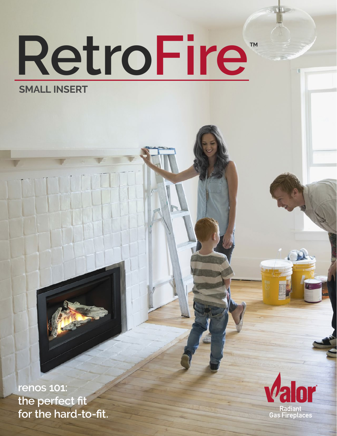# **RetroFire SMALL INSERT TM**

**renos 101: the perfect fit for the hard-to-fit.**

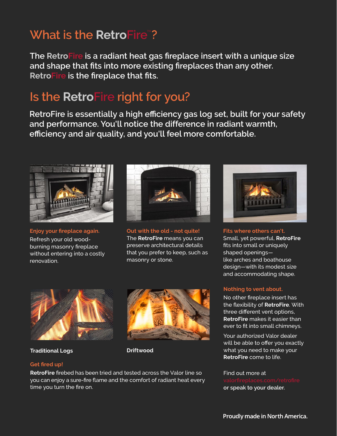### **What is the RetroFire**"?

**The RetroFire is a radiant heat gas fireplace insert with a unique size and shape that fits into more existing fireplaces than any other. RetroFire is the fireplace that fits.**

### **Is the RetroFire right for you?**

**RetroFire is essentially a high efficiency gas log set, built for your safety and performance. You'll notice the difference in radiant warmth, efficiency and air quality, and you'll feel more comfortable.** 



**Enjoy your fireplace again.** Refresh your old woodburning masonry fireplace without entering into a costly renovation.



**Out with the old - not quite!** The **RetroFire** means you can preserve architectural details that you prefer to keep, such as masonry or stone.



**Fits where others can't.** Small, yet powerful, **RetroFire** fits into small or uniquely shaped openings like arches and boathouse design—with its modest size and accommodating shape.

#### **Nothing to vent about.**

No other fireplace insert has the flexibility of **RetroFire**. With three different vent options, **RetroFire** makes it easier than ever to fit into small chimneys.

Your authorized Valor dealer will be able to offer you exactly what you need to make your **RetroFire** come to life.

Find out more at **or speak to your dealer.**



**Traditional Logs Driftwood** 



### **Get fired up!**

**RetroFire** firebed has been tried and tested across the Valor line so you can enjoy a sure-fire flame and the comfort of radiant heat every time you turn the fire on.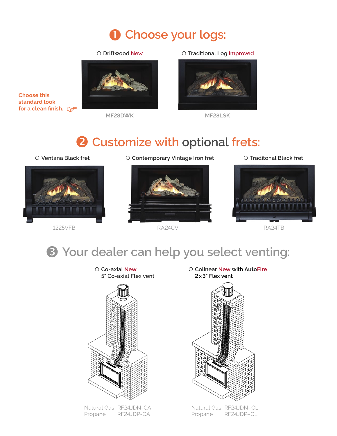# **Choose your logs:**

#### { **Driftwood New**



**MF28DWK MF28LSK**

{ **Traditional Log Improved**



### **Customize with optional frets:**

**Choose this standard look** 

**for a clean finish.**



{ **Ventana Black fret** { **Contemporary Vintage Iron fret** { **Traditonal Black fret**



1225VFB RA24CV RA24TB



### **Your dealer can help you select venting:**



Natural Gas RF24JDN-CA Propane RF24JDP-CA

{ **Colinear New with AutoFire 2x3" Flex vent**



Natural Gas RF24JDN–CL Propane RF24JDP–CL